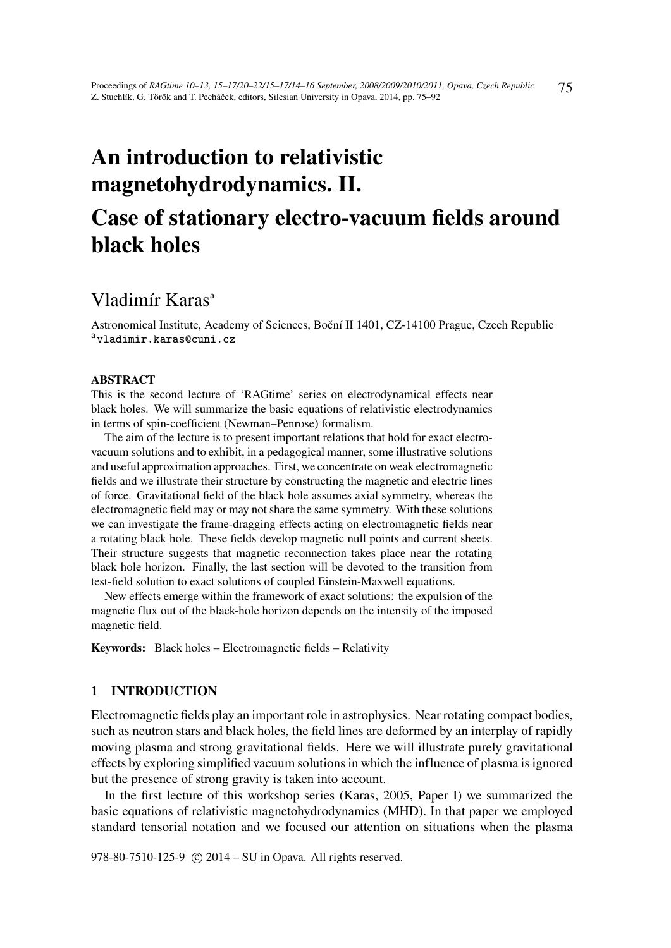# An introduction to relativistic magnetohydrodynamics. II.

## Case of stationary electro-vacuum fields around black holes

## Vladimír Karas<sup>a</sup>

Astronomical Institute, Academy of Sciences, Boční II 1401, CZ-14100 Prague, Czech Republic <sup>a</sup>vladimir.karas@cuni.cz

#### ABSTRACT

This is the second lecture of 'RAGtime' series on electrodynamical effects near black holes. We will summarize the basic equations of relativistic electrodynamics in terms of spin-coefficient (Newman–Penrose) formalism.

The aim of the lecture is to present important relations that hold for exact electrovacuum solutions and to exhibit, in a pedagogical manner, some illustrative solutions and useful approximation approaches. First, we concentrate on weak electromagnetic fields and we illustrate their structure by constructing the magnetic and electric lines of force. Gravitational field of the black hole assumes axial symmetry, whereas the electromagnetic field may or may not share the same symmetry. With these solutions we can investigate the frame-dragging effects acting on electromagnetic fields near a rotating black hole. These fields develop magnetic null points and current sheets. Their structure suggests that magnetic reconnection takes place near the rotating black hole horizon. Finally, the last section will be devoted to the transition from test-field solution to exact solutions of coupled Einstein-Maxwell equations.

New effects emerge within the framework of exact solutions: the expulsion of the magnetic flux out of the black-hole horizon depends on the intensity of the imposed magnetic field.

Keywords: Black holes – Electromagnetic fields – Relativity

## 1 INTRODUCTION

Electromagnetic fields play an important role in astrophysics. Near rotating compact bodies, such as neutron stars and black holes, the field lines are deformed by an interplay of rapidly moving plasma and strong gravitational fields. Here we will illustrate purely gravitational effects by exploring simplified vacuum solutions in which the influence of plasma is ignored but the presence of strong gravity is taken into account.

In the first lecture of this workshop series (Karas, 2005, Paper I) we summarized the basic equations of relativistic magnetohydrodynamics (MHD). In that paper we employed standard tensorial notation and we focused our attention on situations when the plasma

978-80-7510-125-9 (c) 2014 – SU in Opava. All rights reserved.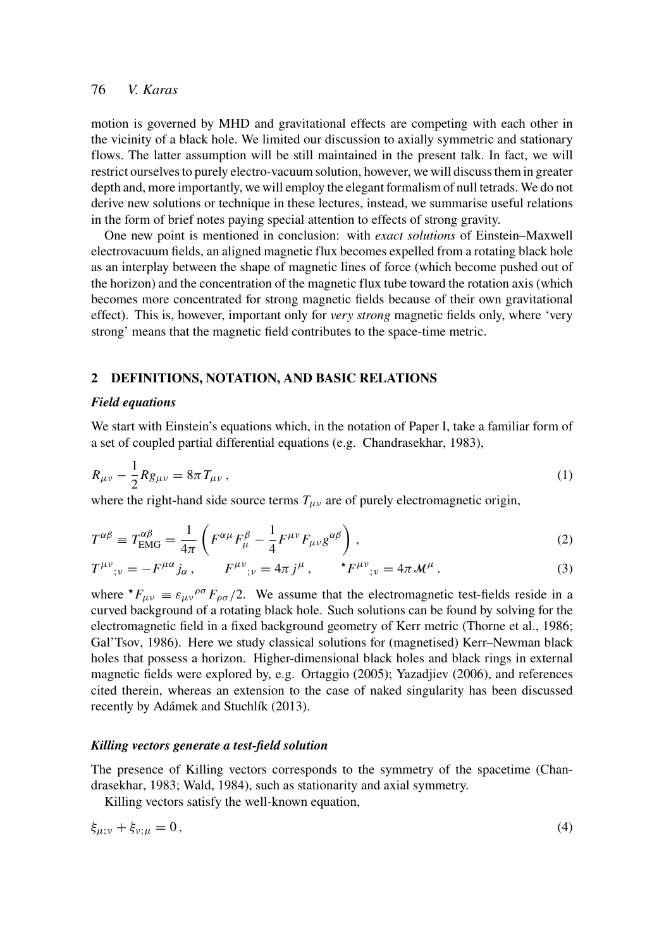motion is governed by MHD and gravitational effects are competing with each other in the vicinity of a black hole. We limited our discussion to axially symmetric and stationary flows. The latter assumption will be still maintained in the present talk. In fact, we will restrict ourselves to purely electro-vacuum solution, however, we will discuss them in greater depth and, more importantly, we will employ the elegant formalism of null tetrads. We do not derive new solutions or technique in these lectures, instead, we summarise useful relations in the form of brief notes paying special attention to effects of strong gravity.

One new point is mentioned in conclusion: with *exact solutions* of Einstein–Maxwell electrovacuum fields, an aligned magnetic flux becomes expelled from a rotating black hole as an interplay between the shape of magnetic lines of force (which become pushed out of the horizon) and the concentration of the magnetic flux tube toward the rotation axis (which becomes more concentrated for strong magnetic fields because of their own gravitational effect). This is, however, important only for *very strong* magnetic fields only, where 'very strong' means that the magnetic field contributes to the space-time metric.

## 2 DEFINITIONS, NOTATION, AND BASIC RELATIONS

#### *Field equations*

We start with Einstein's equations which, in the notation of Paper I, take a familiar form of a set of coupled partial differential equations (e.g. Chandrasekhar, 1983),

$$
R_{\mu\nu} - \frac{1}{2} R g_{\mu\nu} = 8\pi T_{\mu\nu} , \qquad (1)
$$

where the right-hand side source terms  $T_{\mu\nu}$  are of purely electromagnetic origin,

$$
T^{\alpha\beta} \equiv T^{\alpha\beta}_{\text{EMG}} = \frac{1}{4\pi} \left( F^{\alpha\mu} F^{\beta}_{\mu} - \frac{1}{4} F^{\mu\nu} F_{\mu\nu} g^{\alpha\beta} \right), \qquad (2)
$$

$$
T^{\mu\nu}_{\ \ ;\nu} = -F^{\mu\alpha}j_{\alpha}\,,\qquad F^{\mu\nu}_{\ \ ;\nu} = 4\pi\,j^{\mu}\,,\qquad {}^{\star}F^{\mu\nu}_{\ \ ;\nu} = 4\pi\,\mathcal{M}^{\mu}\,.
$$

where  $\star F_{\mu\nu} \equiv \varepsilon_{\mu\nu}{}^{\rho\sigma} F_{\rho\sigma}/2$ . We assume that the electromagnetic test-fields reside in a curved background of a rotating black hole. Such solutions can be found by solving for the electromagnetic field in a fixed background geometry of Kerr metric (Thorne et al., 1986; Gal'Tsov, 1986). Here we study classical solutions for (magnetised) Kerr–Newman black holes that possess a horizon. Higher-dimensional black holes and black rings in external magnetic fields were explored by, e.g. Ortaggio (2005); Yazadjiev (2006), and references cited therein, whereas an extension to the case of naked singularity has been discussed recently by Adámek and Stuchlík (2013).

#### *Killing vectors generate a test-field solution*

The presence of Killing vectors corresponds to the symmetry of the spacetime (Chandrasekhar, 1983; Wald, 1984), such as stationarity and axial symmetry.

Killing vectors satisfy the well-known equation,

$$
\xi_{\mu;\nu} + \xi_{\nu;\mu} = 0,\tag{4}
$$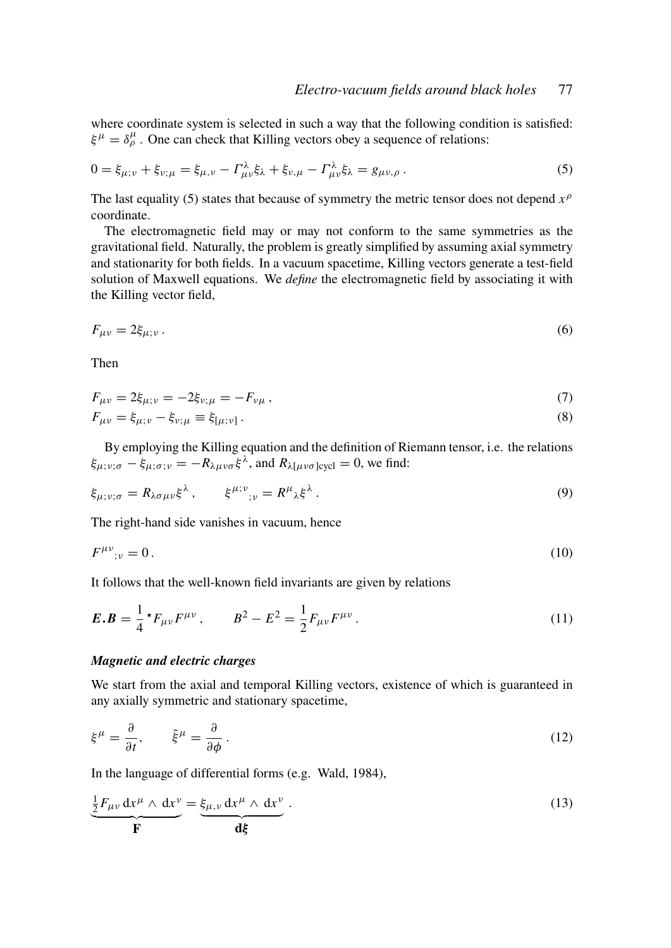where coordinate system is selected in such a way that the following condition is satisfied:  $\xi^{\mu} = \delta^{\mu}_{\rho}$ . One can check that Killing vectors obey a sequence of relations:

$$
0 = \xi_{\mu;\nu} + \xi_{\nu;\mu} = \xi_{\mu,\nu} - \Gamma^{\lambda}_{\mu\nu}\xi_{\lambda} + \xi_{\nu,\mu} - \Gamma^{\lambda}_{\mu\nu}\xi_{\lambda} = g_{\mu\nu,\rho}.
$$
 (5)

The last equality (5) states that because of symmetry the metric tensor does not depend  $x^{\beta}$ coordinate.

The electromagnetic field may or may not conform to the same symmetries as the gravitational field. Naturally, the problem is greatly simplified by assuming axial symmetry and stationarity for both fields. In a vacuum spacetime, Killing vectors generate a test-field solution of Maxwell equations. We *define* the electromagnetic field by associating it with the Killing vector field,

$$
F_{\mu\nu} = 2\xi_{\mu;\nu} \,. \tag{6}
$$

Then

$$
F_{\mu\nu} = 2\xi_{\mu;\nu} = -2\xi_{\nu;\mu} = -F_{\nu\mu} \,,\tag{7}
$$

$$
F_{\mu\nu} = \xi_{\mu;\nu} - \xi_{\nu;\mu} \equiv \xi_{[\mu;\nu]} \,. \tag{8}
$$

By employing the Killing equation and the definition of Riemann tensor, i.e. the relations  $\xi_{\mu;\nu;\sigma} - \xi_{\mu;\sigma;\nu} = -R_{\lambda\mu\nu\sigma}\xi^{\lambda}$ , and  $R_{\lambda[\mu\nu\sigma]cycl} = 0$ , we find:

$$
\xi_{\mu;\nu;\sigma} = R_{\lambda\sigma\mu\nu}\xi^{\lambda}, \qquad \xi^{\mu;\nu}_{;\nu} = R^{\mu}_{\lambda}\xi^{\lambda}.
$$
 (9)

The right-hand side vanishes in vacuum, hence

$$
F^{\mu\nu}_{\ \ ;\nu} = 0\,. \tag{10}
$$

It follows that the well-known field invariants are given by relations

$$
E.B = \frac{1}{4} \star F_{\mu\nu} F^{\mu\nu} , \qquad B^2 - E^2 = \frac{1}{2} F_{\mu\nu} F^{\mu\nu} . \tag{11}
$$

#### *Magnetic and electric charges*

We start from the axial and temporal Killing vectors, existence of which is guaranteed in any axially symmetric and stationary spacetime,

$$
\xi^{\mu} = \frac{\partial}{\partial t}, \qquad \tilde{\xi}^{\mu} = \frac{\partial}{\partial \phi}.
$$
\n(12)

In the language of differential forms (e.g. Wald, 1984),

$$
\frac{\frac{1}{2}F_{\mu\nu} dx^{\mu} \wedge dx^{\nu}}{\mathbf{F}} = \underbrace{\xi_{\mu,\nu} dx^{\mu} \wedge dx^{\nu}}_{\mathbf{d}\xi}.
$$
\n(13)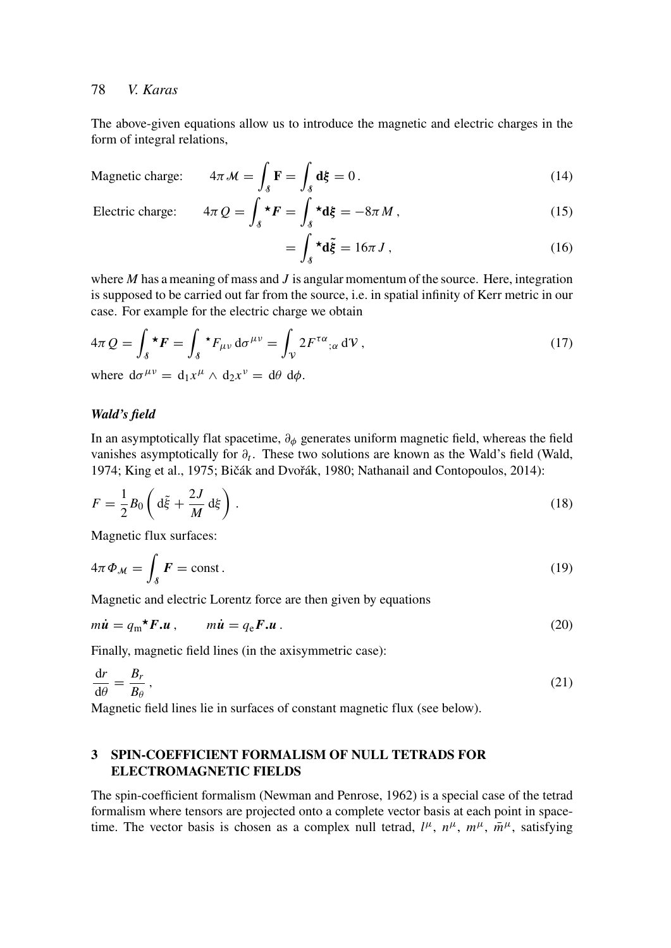The above-given equations allow us to introduce the magnetic and electric charges in the form of integral relations,

$$
4\pi \mathcal{M} = \int_{\mathcal{S}} \mathbf{F} = \int_{\mathcal{S}} \mathbf{d}\xi = 0.
$$
 (14)

Electric charge:  $4\pi$ 

Magnetic charge:

$$
Q = \int_{\delta}^{\star} F = \int_{\delta}^{\star} d\xi = -8\pi M , \qquad (15)
$$

$$
= \int_{\delta} \star \mathbf{d}\tilde{\xi} = 16\pi J , \qquad (16)
$$

where *M* has a meaning of mass and *J* is angular momentum of the source. Here, integration is supposed to be carried out far from the source, i.e. in spatial infinity of Kerr metric in our case. For example for the electric charge we obtain

$$
4\pi Q = \int_{\delta} \star \boldsymbol{F} = \int_{\delta} \star F_{\mu\nu} d\sigma^{\mu\nu} = \int_{\mathcal{V}} 2F^{\tau\alpha}{}_{;\alpha} d\mathcal{V},
$$
  
where  $d\sigma^{\mu\nu} = d_1 x^{\mu} \wedge d_2 x^{\nu} = d\theta d\phi.$  (17)

#### *Wald's field*

In an asymptotically flat spacetime,  $\partial_{\phi}$  generates uniform magnetic field, whereas the field vanishes asymptotically for ∂*t* . These two solutions are known as the Wald's field (Wald, 1974; King et al., 1975; Bičák and Dvořák, 1980; Nathanail and Contopoulos, 2014):

$$
F = \frac{1}{2}B_0 \left( d\tilde{\xi} + \frac{2J}{M} d\xi \right).
$$
 (18)

Magnetic flux surfaces:

$$
4\pi \Phi_{\mathcal{M}} = \int_{\mathcal{S}} F = \text{const.}
$$
 (19)

Magnetic and electric Lorentz force are then given by equations

$$
m\dot{\mathbf{u}} = q_{\rm m}^{\star} \mathbf{F} \cdot \mathbf{u} \,, \qquad m\dot{\mathbf{u}} = q_{\rm e} \mathbf{F} \cdot \mathbf{u} \,. \tag{20}
$$

Finally, magnetic field lines (in the axisymmetric case):

$$
\frac{\mathrm{d}r}{\mathrm{d}\theta} = \frac{B_r}{B_\theta},\tag{21}
$$

Magnetic field lines lie in surfaces of constant magnetic flux (see below).

## 3 SPIN-COEFFICIENT FORMALISM OF NULL TETRADS FOR ELECTROMAGNETIC FIELDS

The spin-coefficient formalism (Newman and Penrose, 1962) is a special case of the tetrad formalism where tensors are projected onto a complete vector basis at each point in spacetime. The vector basis is chosen as a complex null tetrad,  $l^{\mu}$ ,  $n^{\mu}$ ,  $m^{\mu}$ ,  $\bar{m}^{\mu}$ , satisfying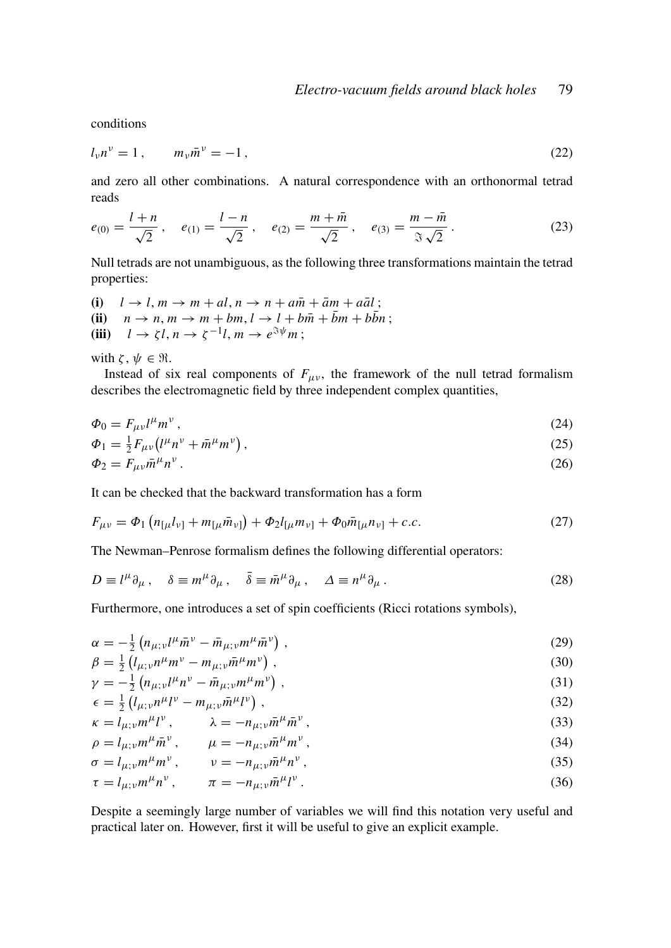conditions

$$
l_{\nu}n^{\nu} = 1, \qquad m_{\nu}\bar{m}^{\nu} = -1, \tag{22}
$$

and zero all other combinations. A natural correspondence with an orthonormal tetrad reads

$$
e_{(0)} = \frac{l+n}{\sqrt{2}}, \quad e_{(1)} = \frac{l-n}{\sqrt{2}}, \quad e_{(2)} = \frac{m+\bar{m}}{\sqrt{2}}, \quad e_{(3)} = \frac{m-\bar{m}}{\Im\sqrt{2}}.
$$
 (23)

Null tetrads are not unambiguous, as the following three transformations maintain the tetrad properties:

(i) 
$$
l \rightarrow l, m \rightarrow m + al, n \rightarrow n + a\overline{m} + \overline{a}m + a\overline{a}l
$$
;  
\n(ii)  $n \rightarrow n, m \rightarrow m + bm, l \rightarrow l + b\overline{m} + \overline{b}m + b\overline{b}n$ ;  
\n(iii)  $l \rightarrow \zeta l, n \rightarrow \zeta^{-1}l, m \rightarrow e^{\Im\psi}m$ ;

with  $\zeta, \psi \in \Re$ .

Instead of six real components of  $F_{\mu\nu}$ , the framework of the null tetrad formalism describes the electromagnetic field by three independent complex quantities,

$$
\Phi_0 = F_{\mu\nu} l^{\mu} m^{\nu},\tag{24}
$$

$$
\Phi_1 = \frac{1}{2} F_{\mu\nu} \left( l^{\mu} n^{\nu} + \bar{m}^{\mu} m^{\nu} \right),\tag{25}
$$

$$
\Phi_2 = F_{\mu\nu} \bar{m}^\mu n^\nu \,. \tag{26}
$$

It can be checked that the backward transformation has a form

$$
F_{\mu\nu} = \Phi_1 \left( n_{\mu} l_{\nu\mu} + m_{\mu} \bar{m}_{\nu\mu} \right) + \Phi_2 l_{\mu} m_{\nu\mu} + \Phi_0 \bar{m}_{\mu} n_{\nu\mu} + c.c.
$$
 (27)

The Newman–Penrose formalism defines the following differential operators:

$$
D \equiv l^{\mu} \partial_{\mu} , \quad \delta \equiv m^{\mu} \partial_{\mu} , \quad \bar{\delta} \equiv \bar{m}^{\mu} \partial_{\mu} , \quad \Delta \equiv n^{\mu} \partial_{\mu} . \tag{28}
$$

Furthermore, one introduces a set of spin coefficients (Ricci rotations symbols),

$$
\alpha = -\frac{1}{2} \left( n_{\mu; \nu} l^{\mu} \bar{m}^{\nu} - \bar{m}_{\mu; \nu} m^{\mu} \bar{m}^{\nu} \right),
$$
  
\n
$$
\beta = \frac{1}{2} \left( l_{\mu; \nu} n^{\mu} m^{\nu} - m_{\mu; \nu} \bar{m}^{\mu} m^{\nu} \right),
$$
\n(29)

$$
\beta = \frac{1}{2} \left( l_{\mu; \nu} n^{\mu} m^{\nu} - m_{\mu; \nu} \bar{m}^{\mu} m^{\nu} \right), \qquad (30)
$$

$$
\gamma = -\frac{1}{2} \left( n_{\mu; \nu} l^{\mu} n^{\nu} - \bar{m}_{\mu; \nu} m^{\mu} m^{\nu} \right), \tag{31}
$$

$$
\begin{aligned} \n\gamma &= \frac{1}{2} \left( l_{\mu; \nu} n^{\mu} l^{\nu} - m_{\mu; \nu} \bar{m}^{\mu} l^{\nu} \right), \\ \n\epsilon &= \frac{1}{2} \left( l_{\mu; \nu} n^{\mu} l^{\nu} - m_{\mu; \nu} \bar{m}^{\mu} l^{\nu} \right), \n\end{aligned} \tag{32}
$$

$$
\kappa = l_{\mu;\nu} m^{\mu} l^{\nu}, \qquad \lambda = -n_{\mu;\nu} \bar{m}^{\mu} \bar{m}^{\nu}, \qquad (33)
$$

$$
\rho = l_{\mu; \nu} m^{\mu} \bar{m}^{\nu} , \qquad \mu = -n_{\mu; \nu} \bar{m}^{\mu} m^{\nu} , \qquad (34)
$$

$$
\sigma = l_{\mu;\nu} m^{\mu} m^{\nu}, \qquad \nu = -n_{\mu;\nu} \bar{m}^{\mu} n^{\nu}, \qquad (35)
$$

$$
\tau = l_{\mu;\nu} m^{\mu} n^{\nu}, \qquad \pi = -n_{\mu;\nu} \bar{m}^{\mu} l^{\nu}.
$$
\n(36)

Despite a seemingly large number of variables we will find this notation very useful and practical later on. However, first it will be useful to give an explicit example.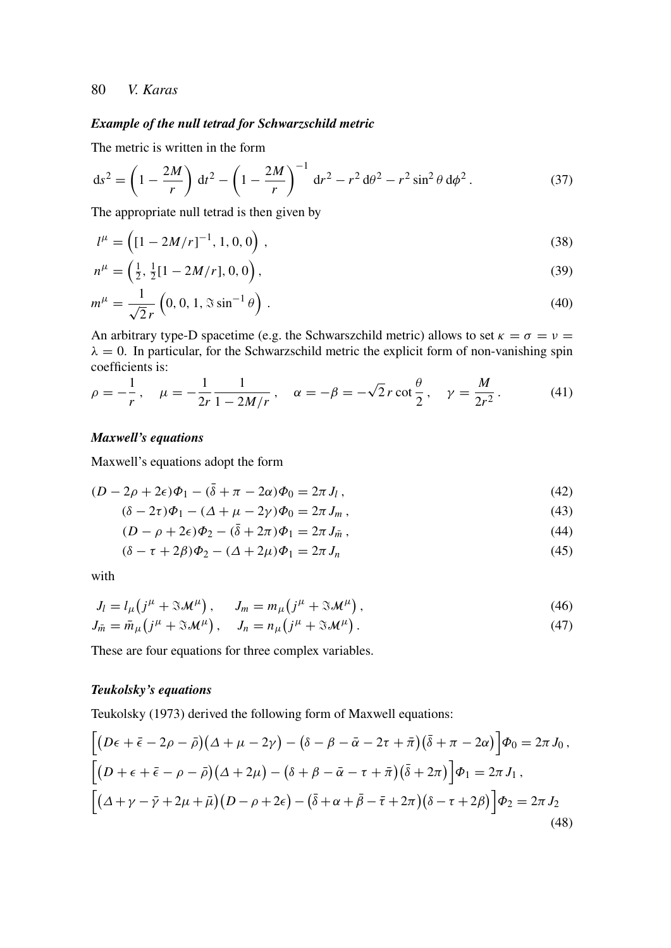## *Example of the null tetrad for Schwarzschild metric*

The metric is written in the form

$$
ds^{2} = \left(1 - \frac{2M}{r}\right) dt^{2} - \left(1 - \frac{2M}{r}\right)^{-1} dr^{2} - r^{2} d\theta^{2} - r^{2} \sin^{2} \theta d\phi^{2}.
$$
 (37)

The appropriate null tetrad is then given by

$$
l^{\mu} = \left( \left[ 1 - 2M/r \right]^{-1}, 1, 0, 0 \right), \tag{38}
$$

$$
n^{\mu} = \left(\frac{1}{2}, \frac{1}{2}[1 - 2M/r], 0, 0\right),\tag{39}
$$

$$
m^{\mu} = \frac{1}{\sqrt{2}r} \left( 0, 0, 1, \Im \sin^{-1} \theta \right).
$$
 (40)

An arbitrary type-D spacetime (e.g. the Schwarszchild metric) allows to set  $\kappa = \sigma = \nu =$  $\lambda = 0$ . In particular, for the Schwarzschild metric the explicit form of non-vanishing spin coefficients is:

$$
\rho = -\frac{1}{r}, \quad \mu = -\frac{1}{2r} \frac{1}{1 - 2M/r}, \quad \alpha = -\beta = -\sqrt{2}r \cot \frac{\theta}{2}, \quad \gamma = \frac{M}{2r^2}.
$$
 (41)

## *Maxwell's equations*

Maxwell's equations adopt the form

$$
(D - 2\rho + 2\epsilon)\Phi_1 - (\bar{\delta} + \pi - 2\alpha)\Phi_0 = 2\pi J_l,
$$
\n(42)

$$
(\delta - 2\tau)\Phi_1 - (\Delta + \mu - 2\gamma)\Phi_0 = 2\pi J_m,
$$
\n<sup>(43)</sup>

$$
(D - \rho + 2\epsilon)\Phi_2 - (\bar{\delta} + 2\pi)\Phi_1 = 2\pi J_{\bar{m}},\tag{44}
$$

$$
(\delta - \tau + 2\beta)\Phi_2 - (\Delta + 2\mu)\Phi_1 = 2\pi J_n \tag{45}
$$

with

$$
J_l = l_\mu \left( j^\mu + \mathfrak{A} \mathcal{M}^\mu \right), \qquad J_m = m_\mu \left( j^\mu + \mathfrak{A} \mathcal{M}^\mu \right), \tag{46}
$$

$$
J_{\bar{m}} = \bar{m}_{\mu} (j^{\mu} + \Im \mathcal{M}^{\mu}), \quad J_{n} = n_{\mu} (j^{\mu} + \Im \mathcal{M}^{\mu}). \tag{47}
$$

These are four equations for three complex variables.

## *Teukolsky's equations*

Teukolsky (1973) derived the following form of Maxwell equations:

$$
\begin{aligned}\n\left[ (D\epsilon + \bar{\epsilon} - 2\rho - \bar{\rho})(\Delta + \mu - 2\gamma) - (\delta - \beta - \bar{\alpha} - 2\tau + \bar{\pi})(\bar{\delta} + \pi - 2\alpha) \right] \Phi_0 &= 2\pi J_0, \\
\left[ (D + \epsilon + \bar{\epsilon} - \rho - \bar{\rho})(\Delta + 2\mu) - (\delta + \beta - \bar{\alpha} - \tau + \bar{\pi})(\bar{\delta} + 2\pi) \right] \Phi_1 &= 2\pi J_1, \\
\left[ (\Delta + \gamma - \bar{\gamma} + 2\mu + \bar{\mu})(D - \rho + 2\epsilon) - (\bar{\delta} + \alpha + \bar{\beta} - \bar{\tau} + 2\pi)(\delta - \tau + 2\beta) \right] \Phi_2 &= 2\pi J_2\n\end{aligned} \tag{48}
$$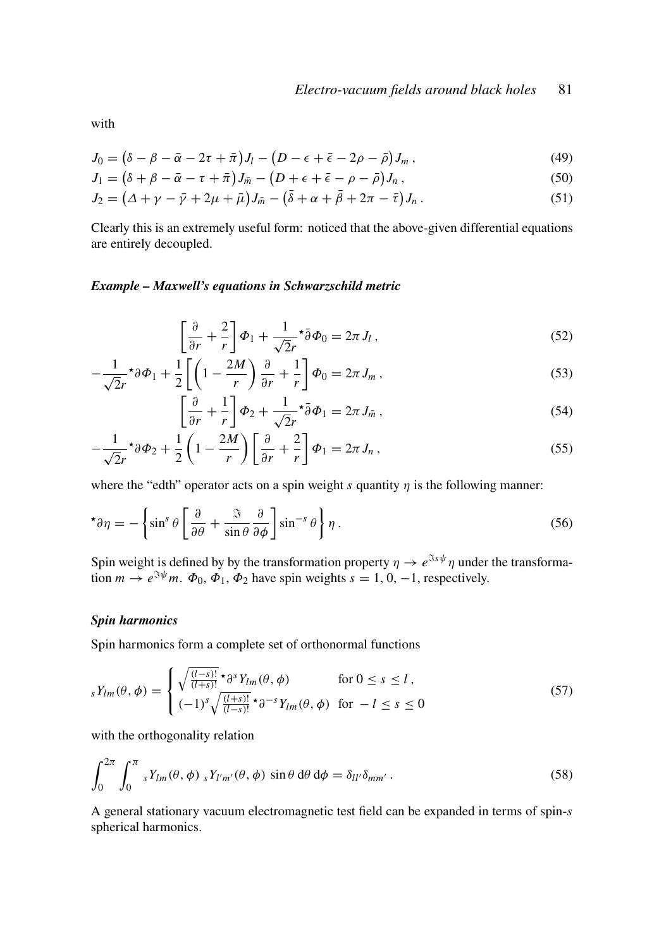with

$$
J_0 = \left(\delta - \beta - \bar{\alpha} - 2\tau + \bar{\pi}\right)J_l - \left(D - \epsilon + \bar{\epsilon} - 2\rho - \bar{\rho}\right)J_m\,,\tag{49}
$$

$$
J_1 = (\delta + \beta - \bar{\alpha} - \tau + \bar{\pi})J_{\bar{m}} - (D + \epsilon + \bar{\epsilon} - \rho - \bar{\rho})J_n, \qquad (50)
$$

$$
J_2 = \left(\Delta + \gamma - \bar{\gamma} + 2\mu + \bar{\mu}\right)J_{\bar{m}} - \left(\bar{\delta} + \alpha + \bar{\beta} + 2\pi - \bar{\tau}\right)J_n. \tag{51}
$$

Clearly this is an extremely useful form: noticed that the above-given differential equations are entirely decoupled.

## *Example – Maxwell's equations in Schwarzschild metric*

$$
\left[\frac{\partial}{\partial r} + \frac{2}{r}\right]\Phi_1 + \frac{1}{\sqrt{2}r}\tilde{\partial}\Phi_0 = 2\pi J_l,
$$
\n(52)

$$
-\frac{1}{\sqrt{2}r}\tau\partial\Phi_1 + \frac{1}{2}\left[\left(1 - \frac{2M}{r}\right)\frac{\partial}{\partial r} + \frac{1}{r}\right]\Phi_0 = 2\pi J_m\,,\tag{53}
$$

$$
\left[\frac{\partial}{\partial r} + \frac{1}{r}\right]\Phi_2 + \frac{1}{\sqrt{2}r}\sigma^2 \bar{\partial} \Phi_1 = 2\pi J_{\bar{m}}\,,\tag{54}
$$

$$
-\frac{1}{\sqrt{2}r} \star \partial \Phi_2 + \frac{1}{2} \left( 1 - \frac{2M}{r} \right) \left[ \frac{\partial}{\partial r} + \frac{2}{r} \right] \Phi_1 = 2\pi J_n , \qquad (55)
$$

where the "edth" operator acts on a spin weight *s* quantity  $\eta$  is the following manner:

$$
\star \partial \eta = -\left\{ \sin^s \theta \left[ \frac{\partial}{\partial \theta} + \frac{\Im}{\sin \theta} \frac{\partial}{\partial \phi} \right] \sin^{-s} \theta \right\} \eta . \tag{56}
$$

Spin weight is defined by by the transformation property  $\eta \to e^{\Im s\psi} \eta$  under the transformation  $m \to e^{\Im \psi} m$ .  $\Phi_0$ ,  $\Phi_1$ ,  $\Phi_2$  have spin weights  $s = 1, 0, -1$ , respectively.

## *Spin harmonics*

Spin harmonics form a complete set of orthonormal functions

$$
sY_{lm}(\theta,\phi) = \begin{cases} \sqrt{\frac{(l-s)!}{(l+s)!}} \star \partial^s Y_{lm}(\theta,\phi) & \text{for } 0 \le s \le l, \\ (-1)^s \sqrt{\frac{(l+s)!}{(l-s)!}} \star \partial^{-s} Y_{lm}(\theta,\phi) & \text{for } -l \le s \le 0 \end{cases}
$$
(57)

with the orthogonality relation

$$
\int_0^{2\pi} \int_0^{\pi} s Y_{lm}(\theta, \phi) s Y_{l'm'}(\theta, \phi) \sin \theta \, d\theta \, d\phi = \delta_{ll'} \delta_{mm'}.
$$
 (58)

A general stationary vacuum electromagnetic test field can be expanded in terms of spin-*s* spherical harmonics.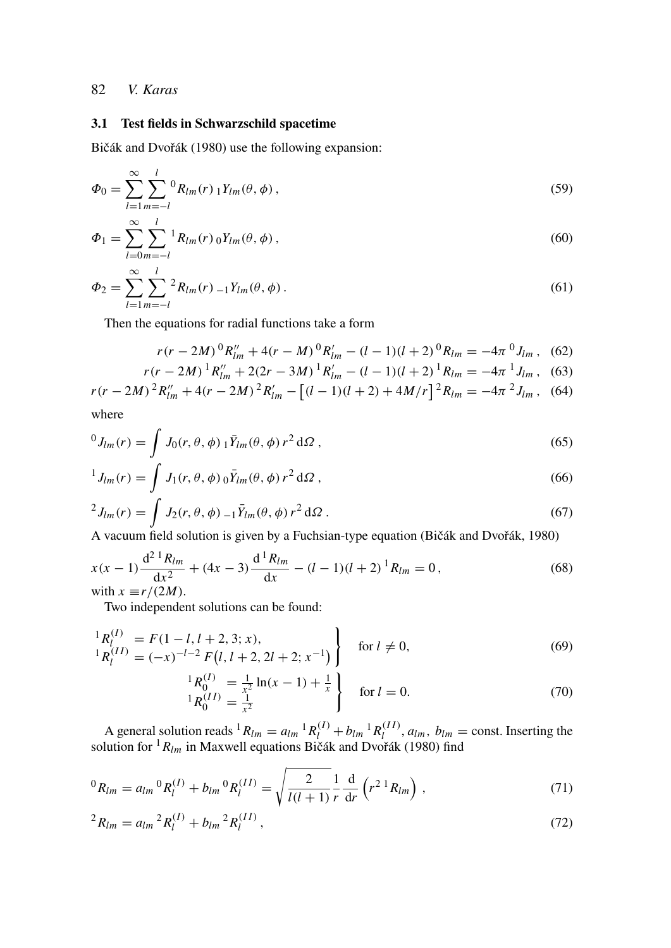*l*

### 3.1 Test fields in Schwarzschild spacetime

Bičák and Dvořák (1980) use the following expansion:

$$
\Phi_0 = \sum_{l=1}^{\infty} \sum_{m=-l}^{l} {}^{0}R_{lm}(r) {}_1Y_{lm}(\theta, \phi) , \qquad (59)
$$

$$
\Phi_1 = \sum_{l=0}^{\infty} \sum_{m=-l}^{l} {}^1R_{lm}(r) {}^0Y_{lm}(\theta, \phi) , \qquad (60)
$$

$$
\Phi_2 = \sum_{l=1}^{\infty} \sum_{m=-l}^{l} {}^2R_{lm}(r) {}_{-1}Y_{lm}(\theta, \phi).
$$
\n(61)

Then the equations for radial functions take a form

$$
r(r - 2M)^{0}R''_{lm} + 4(r - M)^{0}R'_{lm} - (l - 1)(l + 2)^{0}R_{lm} = -4\pi^{0}J_{lm},
$$
 (62)

$$
r(r - 2M)^{1}R''_{lm} + 2(2r - 3M)^{1}R'_{lm} - (l - 1)(l + 2)^{1}R_{lm} = -4\pi^{1}J_{lm},
$$
 (63)

$$
r(r - 2M)^{2} R''_{lm} + 4(r - 2M)^{2} R'_{lm} - [(l - 1)(l + 2) + 4M/r]^{2} R_{lm} = -4\pi^{2} J_{lm},
$$
 (64)

where

$$
{}^{0}J_{lm}(r) = \int J_0(r,\theta,\phi) \, {}_1\bar{Y}_{lm}(\theta,\phi) \, r^2 \, \mathrm{d}\Omega \,, \tag{65}
$$

$$
{}^{1}J_{lm}(r) = \int J_{1}(r,\theta,\phi) \, {}_{0}\bar{Y}_{lm}(\theta,\phi) \, r^{2} \, \mathrm{d}\Omega \,, \tag{66}
$$

$$
{}^{2}J_{lm}(r) = \int J_{2}(r,\theta,\phi) {}_{-1}\bar{Y}_{lm}(\theta,\phi) r^{2} d\Omega . \tag{67}
$$

A vacuum field solution is given by a Fuchsian-type equation (Bičák and Dvořák, 1980)

$$
x(x-1)\frac{d^{2} R_{lm}}{dx^{2}} + (4x-3)\frac{d^{1} R_{lm}}{dx} - (l-1)(l+2)^{1} R_{lm} = 0,
$$
\n
$$
\text{with } x \equiv r/(2M).
$$
\n(68)

Two independent solutions can be found:

$$
\begin{aligned}\n^{1}R_{l}^{(I)} &= F(1 - l, l + 2, 3; x), \\
^{1}R_{l}^{(II)} &= (-x)^{-l-2} F(l, l + 2, 2l + 2; x^{-1})\n\end{aligned}\n\} \quad \text{for } l \neq 0,
$$
\n(69)

$$
\begin{array}{l}\n^{1}R_{0}^{(I)} = \frac{1}{x^{2}}\ln(x-1) + \frac{1}{x} \\
^{1}R_{0}^{(II)} = \frac{1}{x^{2}}\n\end{array}
$$
\nfor  $l = 0$ . (70)

A general solution reads  ${}^{1}R_{lm} = a_{lm} {}^{1}R_{l}^{(I)} + b_{lm} {}^{1}R_{l}^{(II)}$  $l_l^{(II)}$ ,  $a_{lm}$ ,  $b_{lm}$  = const. Inserting the solution for <sup>1</sup>*Rlm* in Maxwell equations Bičák and Dvořák (1980) find

$$
{}^{0}R_{lm} = a_{lm} {}^{0}R_{l}^{(I)} + b_{lm} {}^{0}R_{l}^{(II)} = \sqrt{\frac{2}{l(l+1)} \frac{1}{r} \frac{d}{dr} \left(r^{2} {}^{1}R_{lm}\right)} , \qquad (71)
$$

$$
{}^{2}R_{lm} = a_{lm} {}^{2}R_{l}^{(I)} + b_{lm} {}^{2}R_{l}^{(II)}, \qquad (72)
$$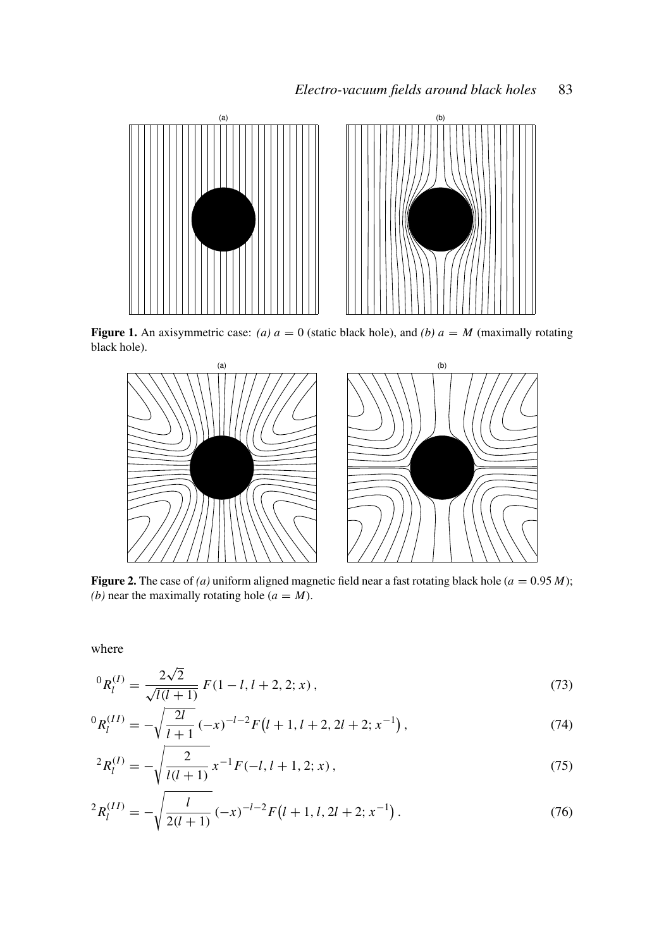

Figure 1. An axisymmetric case: *(a)*  $a = 0$  (static black hole), and *(b)*  $a = M$  (maximally rotating black hole).



Figure 2. The case of *(a)* uniform aligned magnetic field near a fast rotating black hole  $(a = 0.95 M)$ ; *(b)* near the maximally rotating hole  $(a = M)$ .

where

$$
{}^{0}R_{l}^{(I)} = \frac{2\sqrt{2}}{\sqrt{l(l+1)}} F(1-l, l+2, 2; x), \qquad (73)
$$

$$
{}^{0}R_{l}^{(II)} = -\sqrt{\frac{2l}{l+1}} \left(-x\right)^{-l-2} F\left(l+1, l+2, 2l+2; x^{-1}\right),\tag{74}
$$

$$
{}^{2}R_{l}^{(I)} = -\sqrt{\frac{2}{l(l+1)}} x^{-1} F(-l, l+1, 2; x), \qquad (75)
$$

$$
{}^{2}R_{l}^{(II)} = -\sqrt{\frac{l}{2(l+1)}} \left(-x\right)^{-l-2} F\left(l+1, l, 2l+2; x^{-1}\right). \tag{76}
$$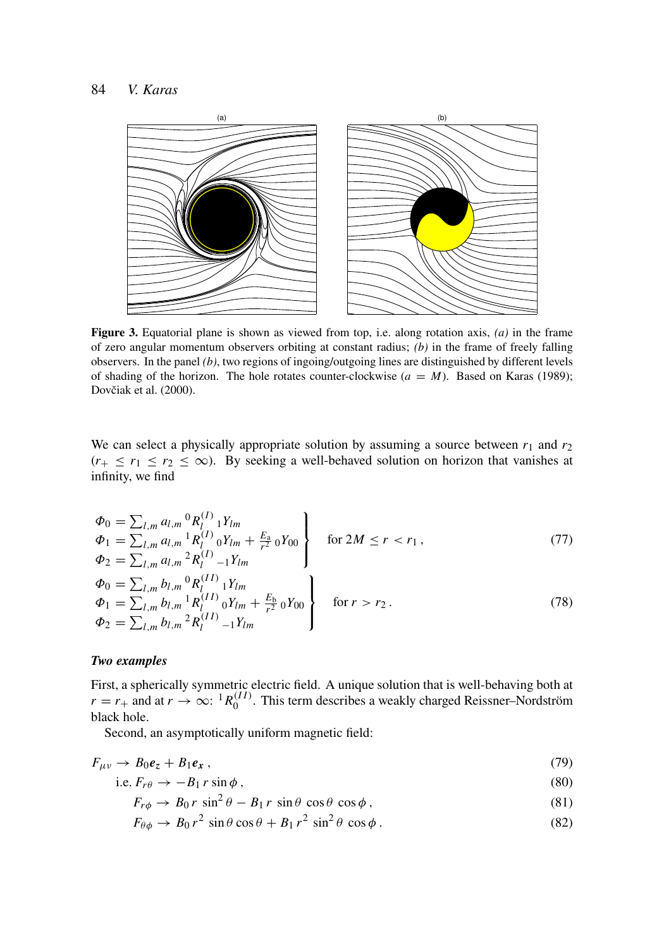

Figure 3. Equatorial plane is shown as viewed from top, i.e. along rotation axis, *(a)* in the frame of zero angular momentum observers orbiting at constant radius; *(b)* in the frame of freely falling observers. In the panel *(b)*, two regions of ingoing/outgoing lines are distinguished by different levels of shading of the horizon. The hole rotates counter-clockwise  $(a = M)$ . Based on Karas (1989); Dovčiak et al. (2000).

We can select a physically appropriate solution by assuming a source between  $r_1$  and  $r_2$  $(r_{+} \leq r_{1} \leq r_{2} \leq \infty)$ . By seeking a well-behaved solution on horizon that vanishes at infinity, we find

$$
\Phi_0 = \sum_{l,m} a_{l,m} {}^0R_l^{(I)} {}_1Y_{lm}
$$
\n
$$
\Phi_1 = \sum_{l,m} a_{l,m} {}^1R_l^{(I)} {}_0Y_{lm} + \frac{E_a}{r^2} {}_0Y_{00}
$$
\n
$$
\Phi_2 = \sum_{l,m} a_{l,m} {}^2R_l^{(I)} {}_{-1}Y_{lm}
$$
\n
$$
\Phi_0 = \sum_{l,m} b_{l,m} {}^0R_l^{(II)} {}_1Y_{lm}
$$
\n
$$
\Phi_1 = \sum_{l,m} b_{l,m} {}^1R_l^{(II)} {}_0Y_{lm} + \frac{E_b}{r^2} {}_0Y_{00}
$$
\n
$$
\Phi_2 = \sum_{l,m} b_{l,m} {}^2R_l^{(II)} {}_{-1}Y_{lm}
$$
\n
$$
(78)
$$

#### *Two examples*

First, a spherically symmetric electric field. A unique solution that is well-behaving both at  $r = r_+$  and at  $r \to \infty$ : <sup>1</sup> $R_0^{(II)}$  $0^{(11)}$ . This term describes a weakly charged Reissner–Nordström black hole.

Second, an asymptotically uniform magnetic field:

$$
F_{\mu\nu} \to B_0 e_z + B_1 e_x \,, \tag{79}
$$

i.e. 
$$
F_{r\theta} \to -B_1 r \sin \phi
$$
, (80)

$$
F_{r\phi} \to B_0 r \sin^2 \theta - B_1 r \sin \theta \cos \theta \cos \phi, \qquad (81)
$$

$$
F_{\theta\phi} \to B_0 r^2 \sin\theta \cos\theta + B_1 r^2 \sin^2\theta \cos\phi. \tag{82}
$$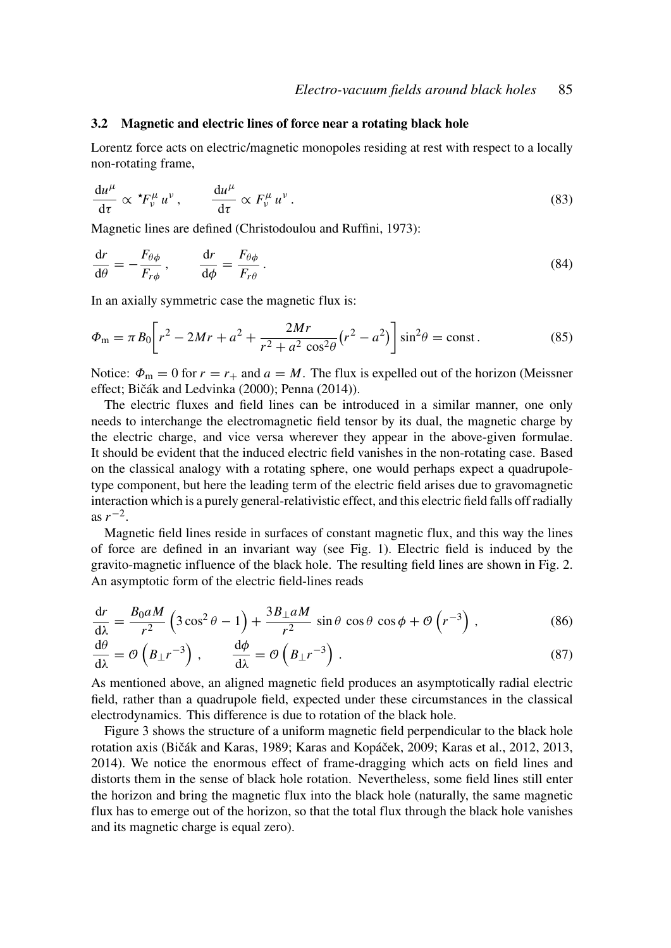#### 3.2 Magnetic and electric lines of force near a rotating black hole

Lorentz force acts on electric/magnetic monopoles residing at rest with respect to a locally non-rotating frame,

$$
\frac{\mathrm{d}u^{\mu}}{\mathrm{d}\tau} \propto {}^{\star}F^{\mu}_{\nu}u^{\nu}, \qquad \frac{\mathrm{d}u^{\mu}}{\mathrm{d}\tau} \propto F^{\mu}_{\nu}u^{\nu}. \tag{83}
$$

Magnetic lines are defined (Christodoulou and Ruffini, 1973):

$$
\frac{\mathrm{d}r}{\mathrm{d}\theta} = -\frac{F_{\theta\phi}}{F_{r\phi}}, \qquad \frac{\mathrm{d}r}{\mathrm{d}\phi} = \frac{F_{\theta\phi}}{F_{r\theta}}.
$$
\n(84)

In an axially symmetric case the magnetic flux is:

$$
\Phi_{\rm m} = \pi B_0 \bigg[ r^2 - 2Mr + a^2 + \frac{2Mr}{r^2 + a^2 \cos^2 \theta} (r^2 - a^2) \bigg] \sin^2 \theta = \text{const.}
$$
\n(85)

Notice:  $\Phi_{\text{m}} = 0$  for  $r = r_{+}$  and  $a = M$ . The flux is expelled out of the horizon (Meissner effect; Bičák and Ledvinka (2000); Penna (2014)).

The electric fluxes and field lines can be introduced in a similar manner, one only needs to interchange the electromagnetic field tensor by its dual, the magnetic charge by the electric charge, and vice versa wherever they appear in the above-given formulae. It should be evident that the induced electric field vanishes in the non-rotating case. Based on the classical analogy with a rotating sphere, one would perhaps expect a quadrupoletype component, but here the leading term of the electric field arises due to gravomagnetic interaction which is a purely general-relativistic effect, and this electric field falls off radially as  $r^{-2}$ .

Magnetic field lines reside in surfaces of constant magnetic flux, and this way the lines of force are defined in an invariant way (see Fig. 1). Electric field is induced by the gravito-magnetic influence of the black hole. The resulting field lines are shown in Fig. 2. An asymptotic form of the electric field-lines reads

$$
\frac{dr}{d\lambda} = \frac{B_0 a M}{r^2} \left( 3 \cos^2 \theta - 1 \right) + \frac{3 B_{\perp} a M}{r^2} \sin \theta \cos \theta \cos \phi + \mathcal{O} \left( r^{-3} \right),\tag{86}
$$

$$
\frac{d\theta}{d\lambda} = \mathcal{O}\left(B_{\perp}r^{-3}\right), \qquad \frac{d\phi}{d\lambda} = \mathcal{O}\left(B_{\perp}r^{-3}\right). \tag{87}
$$

As mentioned above, an aligned magnetic field produces an asymptotically radial electric field, rather than a quadrupole field, expected under these circumstances in the classical electrodynamics. This difference is due to rotation of the black hole.

Figure 3 shows the structure of a uniform magnetic field perpendicular to the black hole rotation axis (Bičák and Karas, 1989; Karas and Kopáček, 2009; Karas et al., 2012, 2013, 2014). We notice the enormous effect of frame-dragging which acts on field lines and distorts them in the sense of black hole rotation. Nevertheless, some field lines still enter the horizon and bring the magnetic flux into the black hole (naturally, the same magnetic flux has to emerge out of the horizon, so that the total flux through the black hole vanishes and its magnetic charge is equal zero).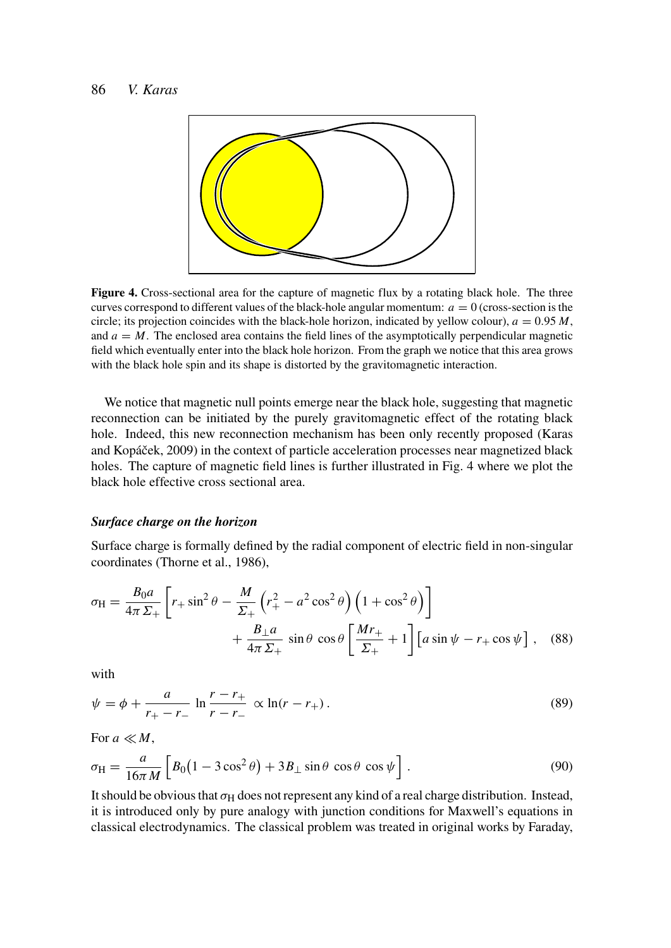

Figure 4. Cross-sectional area for the capture of magnetic flux by a rotating black hole. The three curves correspond to different values of the black-hole angular momentum:  $a = 0$  (cross-section is the circle; its projection coincides with the black-hole horizon, indicated by yellow colour),  $a = 0.95 M$ , and  $a = M$ . The enclosed area contains the field lines of the asymptotically perpendicular magnetic field which eventually enter into the black hole horizon. From the graph we notice that this area grows with the black hole spin and its shape is distorted by the gravitomagnetic interaction.

We notice that magnetic null points emerge near the black hole, suggesting that magnetic reconnection can be initiated by the purely gravitomagnetic effect of the rotating black hole. Indeed, this new reconnection mechanism has been only recently proposed (Karas and Kopáček, 2009) in the context of particle acceleration processes near magnetized black holes. The capture of magnetic field lines is further illustrated in Fig. 4 where we plot the black hole effective cross sectional area.

#### *Surface charge on the horizon*

Surface charge is formally defined by the radial component of electric field in non-singular coordinates (Thorne et al., 1986),

$$
\sigma_{\rm H} = \frac{B_0 a}{4\pi \Sigma_+} \left[ r_+ \sin^2 \theta - \frac{M}{\Sigma_+} \left( r_+^2 - a^2 \cos^2 \theta \right) \left( 1 + \cos^2 \theta \right) \right] + \frac{B_\perp a}{4\pi \Sigma_+} \sin \theta \cos \theta \left[ \frac{Mr_+}{\Sigma_+} + 1 \right] \left[ a \sin \psi - r_+ \cos \psi \right], \quad (88)
$$

with

$$
\psi = \phi + \frac{a}{r_+ - r_-} \ln \frac{r - r_+}{r - r_-} \propto \ln(r - r_+).
$$
\n(89)

For  $a \ll M$ ,

$$
\sigma_{\rm H} = \frac{a}{16\pi M} \left[ B_0 \left( 1 - 3\cos^2\theta \right) + 3B_\perp \sin\theta \, \cos\theta \, \cos\psi \right]. \tag{90}
$$

It should be obvious that  $\sigma_H$  does not represent any kind of a real charge distribution. Instead, it is introduced only by pure analogy with junction conditions for Maxwell's equations in classical electrodynamics. The classical problem was treated in original works by Faraday,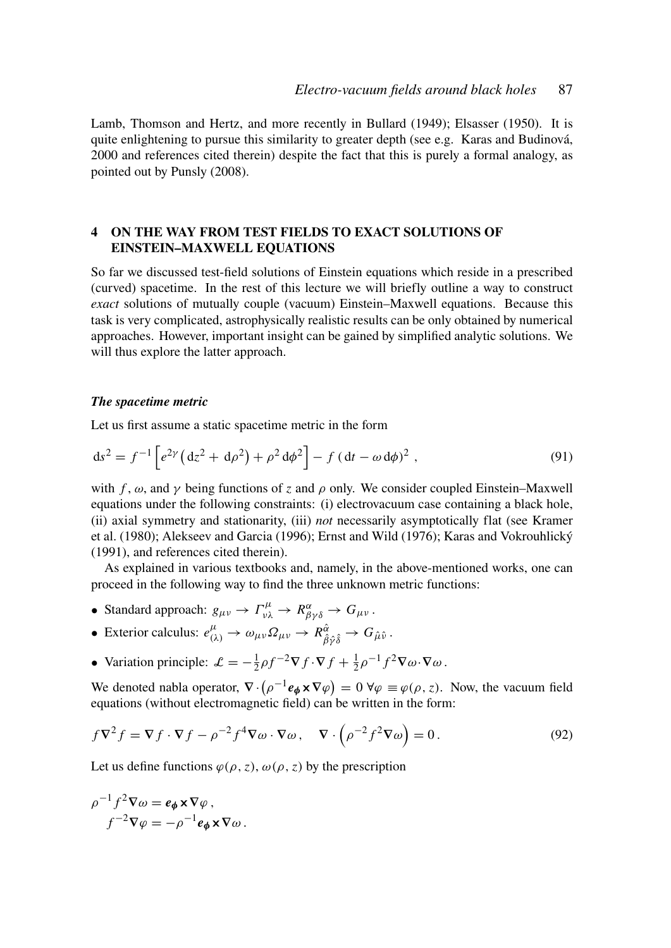Lamb, Thomson and Hertz, and more recently in Bullard (1949); Elsasser (1950). It is quite enlightening to pursue this similarity to greater depth (see e.g. Karas and Budinová, 2000 and references cited therein) despite the fact that this is purely a formal analogy, as pointed out by Punsly (2008).

## 4 ON THE WAY FROM TEST FIELDS TO EXACT SOLUTIONS OF EINSTEIN–MAXWELL EQUATIONS

So far we discussed test-field solutions of Einstein equations which reside in a prescribed (curved) spacetime. In the rest of this lecture we will briefly outline a way to construct *exact* solutions of mutually couple (vacuum) Einstein–Maxwell equations. Because this task is very complicated, astrophysically realistic results can be only obtained by numerical approaches. However, important insight can be gained by simplified analytic solutions. We will thus explore the latter approach.

#### *The spacetime metric*

Let us first assume a static spacetime metric in the form

$$
ds^{2} = f^{-1} \left[ e^{2\gamma} \left( dz^{2} + d\rho^{2} \right) + \rho^{2} d\phi^{2} \right] - f \left( dt - \omega d\phi \right)^{2}, \qquad (91)
$$

with *f*,  $\omega$ , and  $\gamma$  being functions of *z* and  $\rho$  only. We consider coupled Einstein–Maxwell equations under the following constraints: (i) electrovacuum case containing a black hole, (ii) axial symmetry and stationarity, (iii) *not* necessarily asymptotically flat (see Kramer et al. (1980); Alekseev and Garcia (1996); Ernst and Wild (1976); Karas and Vokrouhlický (1991), and references cited therein).

As explained in various textbooks and, namely, in the above-mentioned works, one can proceed in the following way to find the three unknown metric functions:

- Standard approach:  $g_{\mu\nu} \to \Gamma^{\mu}_{\nu\lambda} \to R^{\alpha}_{\beta\gamma\delta} \to G_{\mu\nu}$ .
- Exterior calculus:  $e^{\mu}_{(\lambda)} \to \omega_{\mu\nu} \Omega_{\mu\nu} \to R^{\hat{\alpha}}_{\hat{\beta}\hat{\gamma}\hat{\delta}} \to G_{\hat{\mu}\hat{\nu}}$ .
- Variation principle:  $\mathcal{L} = -\frac{1}{2}\rho f^{-2}\nabla f \cdot \nabla f + \frac{1}{2}\rho^{-1}f^2\nabla \omega \cdot \nabla \omega$ .

We denoted nabla operator,  $\nabla \cdot (\rho^{-1} \mathbf{e}_{\phi} \times \nabla \varphi) = 0 \ \forall \varphi \equiv \varphi(\rho, z)$ . Now, the vacuum field equations (without electromagnetic field) can be written in the form:

$$
f\nabla^2 f = \nabla f \cdot \nabla f - \rho^{-2} f^4 \nabla \omega \cdot \nabla \omega, \quad \nabla \cdot \left(\rho^{-2} f^2 \nabla \omega\right) = 0.
$$
 (92)

Let us define functions  $\varphi(\rho, z)$ ,  $\omega(\rho, z)$  by the prescription

$$
\rho^{-1} f^2 \nabla \omega = \mathbf{e}_{\phi} \times \nabla \varphi ,
$$

$$
f^{-2} \nabla \varphi = -\rho^{-1} \mathbf{e}_{\phi} \times \nabla \omega .
$$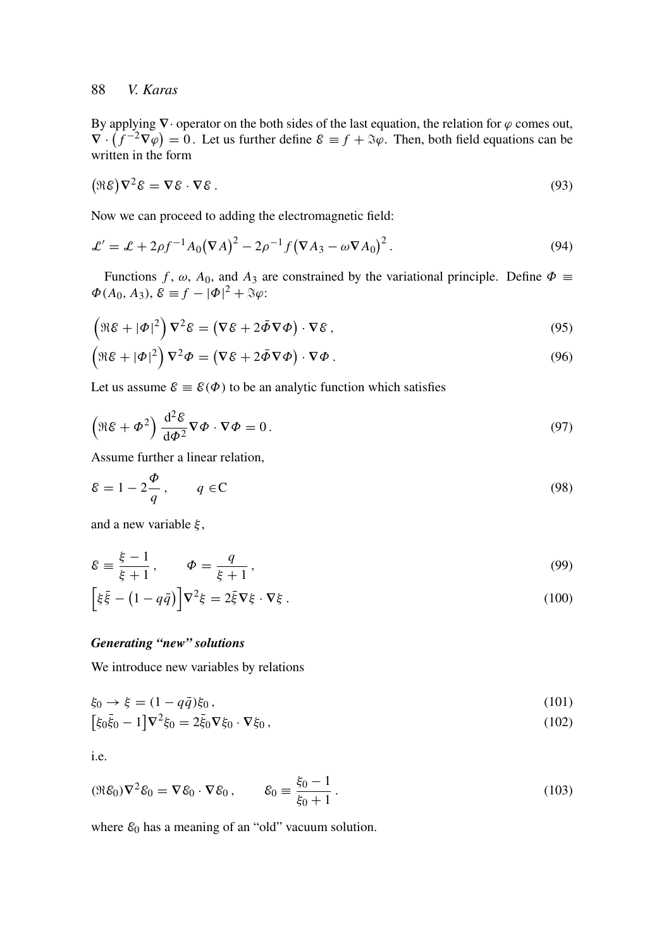By applying  $\nabla \cdot$  operator on the both sides of the last equation, the relation for  $\varphi$  comes out,  $\nabla \cdot (f^{-2}\nabla \varphi) = 0$ . Let us further define  $\mathcal{E} \equiv f + \Im \varphi$ . Then, both field equations can be written in the form

$$
(\Re \mathcal{E}) \nabla^2 \mathcal{E} = \nabla \mathcal{E} \cdot \nabla \mathcal{E} \,. \tag{93}
$$

Now we can proceed to adding the electromagnetic field:

$$
\mathcal{L}' = \mathcal{L} + 2\rho f^{-1} A_0 (\nabla A)^2 - 2\rho^{-1} f (\nabla A_3 - \omega \nabla A_0)^2.
$$
\n(94)

Functions *f*,  $\omega$ ,  $A_0$ , and  $A_3$  are constrained by the variational principle. Define  $\Phi \equiv$  $\Phi(A_0, A_3), \mathcal{E} \equiv f - |\Phi|^2 + \Im \varphi$ :

$$
\left(\Re \varepsilon + |\Phi|^2\right) \nabla^2 \varepsilon = \left(\nabla \varepsilon + 2\bar{\Phi} \nabla \Phi\right) \cdot \nabla \varepsilon \,,\tag{95}
$$

$$
\left(\Re \varepsilon + |\Phi|^2\right) \nabla^2 \Phi = \left(\nabla \varepsilon + 2\bar{\Phi} \nabla \Phi\right) \cdot \nabla \Phi.
$$
\n(96)

Let us assume  $\mathcal{E} \equiv \mathcal{E}(\Phi)$  to be an analytic function which satisfies

$$
\left(\Re \varepsilon + \varPhi^2\right) \frac{\mathrm{d}^2 \varepsilon}{\mathrm{d}\varPhi^2} \nabla \varPhi \cdot \nabla \varPhi = 0. \tag{97}
$$

Assume further a linear relation,

$$
\mathcal{E} = 1 - 2\frac{\Phi}{q}, \qquad q \in \mathbb{C}
$$
\n(98)

and a new variable  $\xi$ ,

$$
\mathcal{E} \equiv \frac{\xi - 1}{\xi + 1}, \qquad \Phi = \frac{q}{\xi + 1}, \tag{99}
$$

$$
\[ \xi \bar{\xi} - (1 - q\bar{q}) \] \nabla^2 \xi = 2 \bar{\xi} \nabla \xi \cdot \nabla \xi \,. \tag{100}
$$

## *Generating "new" solutions*

We introduce new variables by relations

$$
\xi_0 \to \xi = (1 - q\bar{q})\xi_0,\tag{101}
$$

$$
[\xi_0 \bar{\xi}_0 - 1] \nabla^2 \xi_0 = 2 \bar{\xi}_0 \nabla \xi_0 \cdot \nabla \xi_0, \qquad (102)
$$

i.e.

$$
(\Re \mathcal{E}_0) \nabla^2 \mathcal{E}_0 = \nabla \mathcal{E}_0 \cdot \nabla \mathcal{E}_0, \qquad \mathcal{E}_0 \equiv \frac{\xi_0 - 1}{\xi_0 + 1}.
$$
 (103)

where  $\varepsilon_0$  has a meaning of an "old" vacuum solution.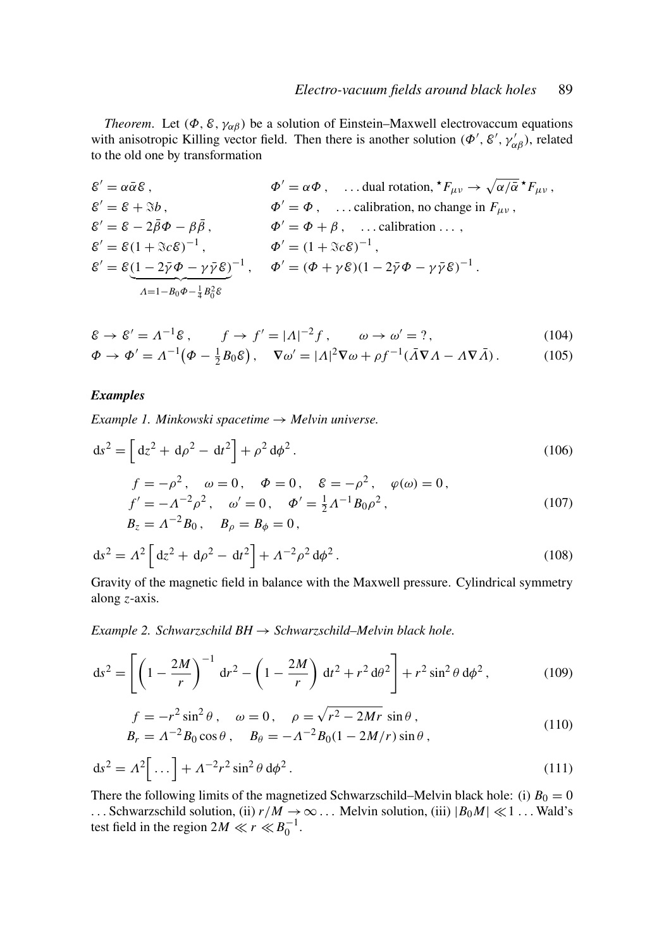*Theorem.* Let  $(\Phi, \mathcal{E}, \gamma_{\alpha\beta})$  be a solution of Einstein–Maxwell electrovaccum equations with anisotropic Killing vector field. Then there is another solution  $(\Phi', \mathcal{E}', \gamma'_{\alpha\beta})$ , related to the old one by transformation

$$
\begin{aligned}\n\mathcal{E}' &= \alpha \bar{\alpha} \mathcal{E} \,, & \Phi' &= \alpha \Phi \,, \quad \dots \text{dual rotation, } {}^\star F_{\mu\nu} \to \sqrt{\alpha/\bar{\alpha}} {}^\star F_{\mu\nu} \,, \\
\mathcal{E}' &= \mathcal{E} + \mathcal{S}b \,, & \Phi' &= \Phi \,, \quad \dots \text{calibration, no change in } F_{\mu\nu} \,, \\
\mathcal{E}' &= \mathcal{E} - 2\bar{\beta}\Phi - \beta\bar{\beta} \,, & \Phi' &= \Phi + \beta \,, \quad \dots \text{calibration} \dots \,, \\
\mathcal{E}' &= \mathcal{E}(1 + \mathcal{S}c\mathcal{E})^{-1} \,, & \Phi' &= (1 + \mathcal{S}c\mathcal{E})^{-1} \,, \\
\mathcal{E}' &= \mathcal{E}\underbrace{(1 - 2\bar{\gamma}\Phi - \gamma\bar{\gamma}\mathcal{E})}_{\Lambda = 1 - B_0\Phi - \frac{1}{4}B_0^2\mathcal{E}}^{-1} \,, & \Phi' &= (\Phi + \gamma\mathcal{E})(1 - 2\bar{\gamma}\Phi - \gamma\bar{\gamma}\mathcal{E})^{-1} \,. \n\end{aligned}
$$

$$
\mathcal{E} \to \mathcal{E}' = \Lambda^{-1} \mathcal{E}, \qquad f \to f' = |\Lambda|^{-2} f, \qquad \omega \to \omega' = ?,\tag{104}
$$

$$
\Phi \to \Phi' = \Lambda^{-1} \big( \Phi - \frac{1}{2} B_0 \mathcal{E} \big), \quad \nabla \omega' = |\Lambda|^2 \nabla \omega + \rho f^{-1} (\bar{A} \nabla \Lambda - A \nabla \bar{A}). \tag{105}
$$

#### *Examples*

*Example 1. Minkowski spacetime* → *Melvin universe.*

$$
ds^{2} = \left[ d\zeta^{2} + d\rho^{2} - dt^{2} \right] + \rho^{2} d\phi^{2}. \qquad (106)
$$

$$
f = -\rho^2, \quad \omega = 0, \quad \Phi = 0, \quad \varepsilon = -\rho^2, \quad \varphi(\omega) = 0,
$$
  
\n
$$
f' = -\Lambda^{-2} \rho^2, \quad \omega' = 0, \quad \Phi' = \frac{1}{2} \Lambda^{-1} B_0 \rho^2,
$$
  
\n
$$
B_z = \Lambda^{-2} B_0, \quad B_\rho = B_\phi = 0,
$$
\n(107)

$$
ds^{2} = A^{2} \left[ d z^{2} + d \rho^{2} - d t^{2} \right] + A^{-2} \rho^{2} d \phi^{2}. \qquad (108)
$$

Gravity of the magnetic field in balance with the Maxwell pressure. Cylindrical symmetry along *z*-axis.

*Example 2. Schwarzschild BH* → *Schwarzschild–Melvin black hole.*

$$
ds^{2} = \left[ \left( 1 - \frac{2M}{r} \right)^{-1} dr^{2} - \left( 1 - \frac{2M}{r} \right) dt^{2} + r^{2} d\theta^{2} \right] + r^{2} \sin^{2} \theta d\phi^{2}, \qquad (109)
$$

$$
f = -r^2 \sin^2 \theta, \quad \omega = 0, \quad \rho = \sqrt{r^2 - 2Mr} \sin \theta,
$$
  
\n
$$
B_r = \Lambda^{-2} B_0 \cos \theta, \quad B_\theta = -\Lambda^{-2} B_0 (1 - 2M/r) \sin \theta,
$$
\n(110)

$$
ds^{2} = \Lambda^{2} \left[ \dots \right] + \Lambda^{-2} r^{2} \sin^{2} \theta \, d\phi^{2}.
$$
 (111)

There the following limits of the magnetized Schwarzschild–Melvin black hole: (i)  $B_0 = 0$ ... Schwarzschild solution, (ii)  $r/M \rightarrow \infty$ ... Melvin solution, (iii)  $|B_0M| \ll 1$ ... Wald's test field in the region  $2M \ll r \ll B_0^{-1}$ .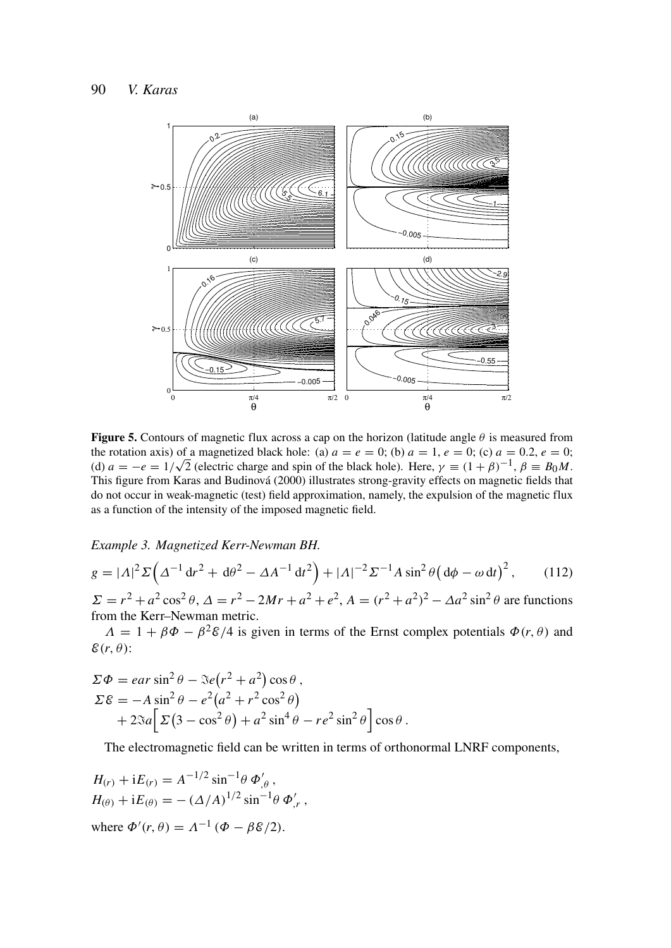

**Figure 5.** Contours of magnetic flux across a cap on the horizon (latitude angle  $\theta$  is measured from the rotation axis) of a magnetized black hole: (a)  $a = e = 0$ ; (b)  $a = 1, e = 0$ ; (c)  $a = 0.2, e = 0$ ; (d)  $a = -e = 1/\sqrt{2}$  (electric charge and spin of the black hole). Here,  $\gamma = (1 + \beta)^{-1}$ ,  $\beta = B_0 M$ . This figure from Karas and Budinová (2000) illustrates strong-gravity effects on magnetic fields that do not occur in weak-magnetic (test) field approximation, namely, the expulsion of the magnetic flux as a function of the intensity of the imposed magnetic field.

*Example 3. Magnetized Kerr-Newman BH.*

$$
g = |A|^2 \Sigma \left( \Delta^{-1} dr^2 + d\theta^2 - \Delta A^{-1} dt^2 \right) + |A|^{-2} \Sigma^{-1} A \sin^2 \theta \left( d\phi - \omega dt \right)^2, \qquad (112)
$$

 $\Sigma = r^2 + a^2 \cos^2 \theta$ ,  $\Delta = r^2 - 2Mr + a^2 + e^2$ ,  $A = (r^2 + a^2)^2 - \Delta a^2 \sin^2 \theta$  are functions from the Kerr–Newman metric.

 $\Lambda = 1 + \beta \Phi - \beta^2 \mathcal{E}/4$  is given in terms of the Ernst complex potentials  $\Phi(r, \theta)$  and  $\mathcal{E}(r, \theta)$ :

$$
\Sigma \Phi = e a r \sin^2 \theta - \Im e (r^2 + a^2) \cos \theta ,
$$
  
\n
$$
\Sigma \varepsilon = -A \sin^2 \theta - e^2 (a^2 + r^2 \cos^2 \theta) + 2 \Im a \Big[ \Sigma (3 - \cos^2 \theta) + a^2 \sin^4 \theta - r e^2 \sin^2 \theta \Big] \cos \theta .
$$

The electromagnetic field can be written in terms of orthonormal LNRF components,

$$
H_{(r)} + iE_{(r)} = A^{-1/2} \sin^{-1} \theta \Phi'_{,\theta},
$$
  
\n
$$
H_{(\theta)} + iE_{(\theta)} = -(\Delta/A)^{1/2} \sin^{-1} \theta \Phi'_{,r},
$$
  
\nwhere  $\Phi'(r, \theta) = A^{-1} (\Phi - \beta \mathcal{E}/2).$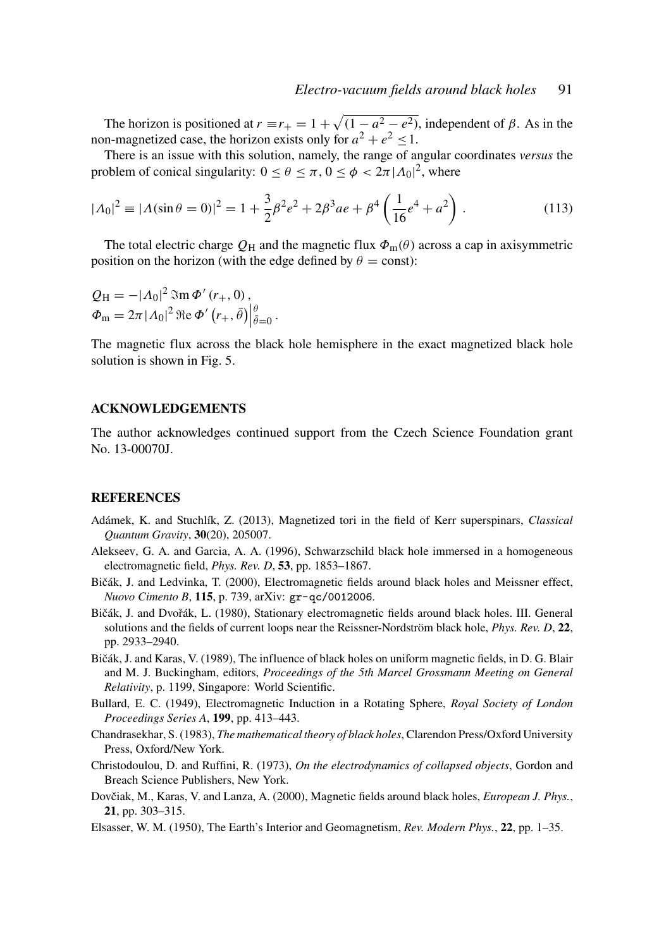The horizon is positioned at  $r \equiv r_+ = 1 + \sqrt{(1 - a^2 - e^2)}$ , independent of  $\beta$ . As in the non-magnetized case, the horizon exists only for  $a^2 + e^2 \leq 1$ .

There is an issue with this solution, namely, the range of angular coordinates *versus* the problem of conical singularity:  $0 \le \theta \le \pi$ ,  $0 \le \phi < 2\pi |\Lambda_0|^2$ , where

$$
|A_0|^2 \equiv |A(\sin \theta = 0)|^2 = 1 + \frac{3}{2}\beta^2 e^2 + 2\beta^3 a e + \beta^4 \left(\frac{1}{16}e^4 + a^2\right). \tag{113}
$$

The total electric charge  $Q_H$  and the magnetic flux  $\Phi_m(\theta)$  across a cap in axisymmetric position on the horizon (with the edge defined by  $\theta = \text{const}$ ):

$$
Q_{\rm H} = -|\Lambda_0|^2 \operatorname{Im} \Phi'(r_+, 0),
$$
  

$$
\Phi_{\rm m} = 2\pi |\Lambda_0|^2 \operatorname{Re} \Phi'(r_+, \bar{\theta})\Big|_{\bar{\theta}=0}^{\theta}
$$

The magnetic flux across the black hole hemisphere in the exact magnetized black hole solution is shown in Fig. 5.

.

#### ACKNOWLEDGEMENTS

The author acknowledges continued support from the Czech Science Foundation grant No. 13-00070J.

#### **REFERENCES**

- Adámek, K. and Stuchlík, Z. (2013), Magnetized tori in the field of Kerr superspinars, *Classical Quantum Gravity*, 30(20), 205007.
- Alekseev, G. A. and Garcia, A. A. (1996), Schwarzschild black hole immersed in a homogeneous electromagnetic field, *Phys. Rev. D*, 53, pp. 1853–1867.
- Bičák, J. and Ledvinka, T. (2000), Electromagnetic fields around black holes and Meissner effect, *Nuovo Cimento B*, 115, p. 739, arXiv: gr-qc/0012006.
- Bičák, J. and Dvořák, L. (1980), Stationary electromagnetic fields around black holes. III. General solutions and the fields of current loops near the Reissner-Nordström black hole, *Phys. Rev. D*, 22, pp. 2933–2940.
- Bičák, J. and Karas, V. (1989), The influence of black holes on uniform magnetic fields, in D. G. Blair and M. J. Buckingham, editors, *Proceedings of the 5th Marcel Grossmann Meeting on General Relativity*, p. 1199, Singapore: World Scientific.
- Bullard, E. C. (1949), Electromagnetic Induction in a Rotating Sphere, *Royal Society of London Proceedings Series A*, 199, pp. 413–443.
- Chandrasekhar, S. (1983), *The mathematical theory of black holes*, Clarendon Press/Oxford University Press, Oxford/New York.
- Christodoulou, D. and Ruffini, R. (1973), *On the electrodynamics of collapsed objects*, Gordon and Breach Science Publishers, New York.
- Dovčiak, M., Karas, V. and Lanza, A. (2000), Magnetic fields around black holes, *European J. Phys.*, 21, pp. 303–315.
- Elsasser, W. M. (1950), The Earth's Interior and Geomagnetism, *Rev. Modern Phys.*, 22, pp. 1–35.